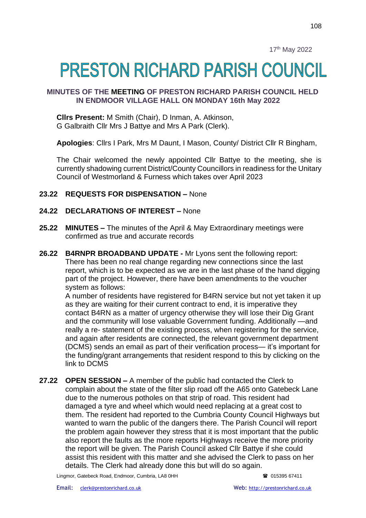# **PRESTON RICHARD PARISH COUNCIL**

## **MINUTES OF THE MEETING OF PRESTON RICHARD PARISH COUNCIL HELD IN ENDMOOR VILLAGE HALL ON MONDAY 16th May 2022**

**Cllrs Present:** M Smith (Chair), D Inman, A. Atkinson, G Galbraith Cllr Mrs J Battye and Mrs A Park (Clerk).

**Apologies**: Cllrs I Park, Mrs M Daunt, I Mason, County/ District Cllr R Bingham,

The Chair welcomed the newly appointed Cllr Battye to the meeting, she is currently shadowing current District/County Councillors in readiness for the Unitary Council of Westmorland & Furness which takes over April 2023

#### **23.22 REQUESTS FOR DISPENSATION –** None

#### **24.22 DECLARATIONS OF INTEREST –** None

- **25.22 MINUTES –** The minutes of the April & May Extraordinary meetings were confirmed as true and accurate records
- **26.22 B4RNPR BROADBAND UPDATE -** Mr Lyons sent the following report: There has been no real change regarding new connections since the last report, which is to be expected as we are in the last phase of the hand digging part of the project. However, there have been amendments to the voucher system as follows:

A number of residents have registered for B4RN service but not yet taken it up as they are waiting for their current contract to end, it is imperative they contact B4RN as a matter of urgency otherwise they will lose their Dig Grant and the community will lose valuable Government funding. Additionally —and really a re- statement of the existing process, when registering for the service, and again after residents are connected, the relevant government department (DCMS) sends an email as part of their verification process— it's important for the funding/grant arrangements that resident respond to this by clicking on the link to DCMS

**27.22 OPEN SESSION –** A member of the public had contacted the Clerk to complain about the state of the filter slip road off the A65 onto Gatebeck Lane due to the numerous potholes on that strip of road. This resident had damaged a tyre and wheel which would need replacing at a great cost to them. The resident had reported to the Cumbria County Council Highways but wanted to warn the public of the dangers there. The Parish Council will report the problem again however they stress that it is most important that the public also report the faults as the more reports Highways receive the more priority the report will be given. The Parish Council asked Cllr Battye if she could assist this resident with this matter and she advised the Clerk to pass on her details. The Clerk had already done this but will do so again.

Lingmor, Gatebeck Road, Endmoor, Cumbria, LA8 0HH 015395 67411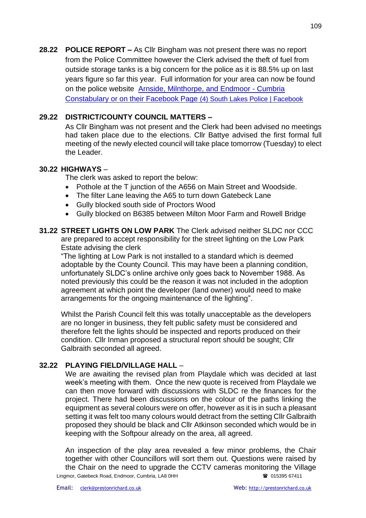**28.22 POLICE REPORT –** As Cllr Bingham was not present there was no report from the Police Committee however the Clerk advised the theft of fuel from outside storage tanks is a big concern for the police as it is 88.5% up on last years figure so far this year. Full information for your area can now be found on the police website [Arnside, Milnthorpe, and Endmoor -](https://www.cumbria.police.uk/your-area/arnside-milnthorpe-and-endmoor) Cumbria [Constabulary](https://www.cumbria.police.uk/your-area/arnside-milnthorpe-and-endmoor) or on their Facebook Page [\(4\) South Lakes Police | Facebook](https://www.facebook.com/SouthLakesPolice)

## **29.22 DISTRICT/COUNTY COUNCIL MATTERS –**

As Cllr Bingham was not present and the Clerk had been advised no meetings had taken place due to the elections. Cllr Battye advised the first formal full meeting of the newly elected council will take place tomorrow (Tuesday) to elect the Leader.

### **30.22 HIGHWAYS** –

The clerk was asked to report the below:

- Pothole at the T junction of the A656 on Main Street and Woodside.
- The filter Lane leaving the A65 to turn down Gatebeck Lane
- Gully blocked south side of Proctors Wood
- Gully blocked on B6385 between Milton Moor Farm and Rowell Bridge
- **31.22 STREET LIGHTS ON LOW PARK** The Clerk advised neither SLDC nor CCC are prepared to accept responsibility for the street lighting on the Low Park Estate advising the clerk

"The lighting at Low Park is not installed to a standard which is deemed adoptable by the County Council. This may have been a planning condition, unfortunately SLDC's online archive only goes back to November 1988. As noted previously this could be the reason it was not included in the adoption agreement at which point the developer (land owner) would need to make arrangements for the ongoing maintenance of the lighting".

Whilst the Parish Council felt this was totally unacceptable as the developers are no longer in business, they felt public safety must be considered and therefore felt the lights should be inspected and reports produced on their condition. Cllr Inman proposed a structural report should be sought; Cllr Galbraith seconded all agreed.

### **32.22 PLAYING FIELD/VILLAGE HALL** –

We are awaiting the revised plan from Playdale which was decided at last week's meeting with them. Once the new quote is received from Playdale we can then move forward with discussions with SLDC re the finances for the project. There had been discussions on the colour of the paths linking the equipment as several colours were on offer, however as it is in such a pleasant setting it was felt too many colours would detract from the setting Cllr Galbraith proposed they should be black and Cllr Atkinson seconded which would be in keeping with the Softpour already on the area, all agreed.

Lingmor, Gatebeck Road, Endmoor, Cumbria, LA8 0HH 015395 67411 An inspection of the play area revealed a few minor problems, the Chair together with other Councillors will sort them out. Questions were raised by the Chair on the need to upgrade the CCTV cameras monitoring the Village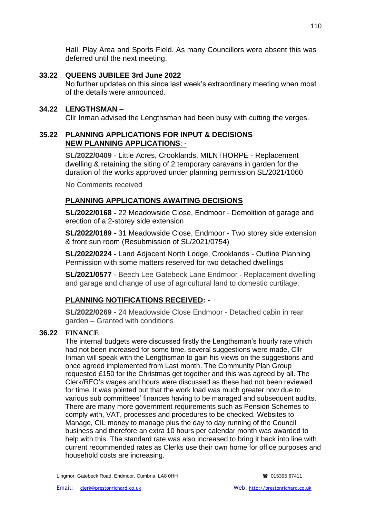Hall, Play Area and Sports Field. As many Councillors were absent this was deferred until the next meeting.

## **33.22 QUEENS JUBILEE 3rd June 2022**

No further updates on this since last week's extraordinary meeting when most of the details were announced.

#### **34.22 LENGTHSMAN –**

Cllr Inman advised the Lengthsman had been busy with cutting the verges.

#### **35.22 PLANNING APPLICATIONS FOR INPUT & DECISIONS NEW PLANNING APPLICATIONS**: -

**SL/2022/0409** - Little Acres, Crooklands, MILNTHORPE - Replacement dwelling & retaining the siting of 2 temporary caravans in garden for the duration of the works approved under planning permission SL/2021/1060

No Comments received

## **PLANNING APPLICATIONS AWAITING DECISIONS**

**SL/2022/0168 -** 22 Meadowside Close, Endmoor - Demolition of garage and erection of a 2-storey side extension

**SL/2022/0189 -** 31 Meadowside Close, Endmoor - Two storey side extension & front sun room (Resubmission of SL/2021/0754)

**SL/2022/0224 -** Land Adjacent North Lodge, Crooklands - Outline Planning Permission with some matters reserved for two detached dwellings

**SL/2021/0577** - Beech Lee Gatebeck Lane Endmoor - Replacement dwelling and garage and change of use of agricultural land to domestic curtilage.

### **PLANNING NOTIFICATIONS RECEIVED: -**

**SL/2022/0269 -** 24 Meadowside Close Endmoor - Detached cabin in rear garden – Granted with conditions

#### **36.22 FINANCE**

The internal budgets were discussed firstly the Lengthsman's hourly rate which had not been increased for some time, several suggestions were made, Cllr Inman will speak with the Lengthsman to gain his views on the suggestions and once agreed implemented from Last month. The Community Plan Group requested £150 for the Christmas get together and this was agreed by all. The Clerk/RFO's wages and hours were discussed as these had not been reviewed for time. It was pointed out that the work load was much greater now due to various sub committees' finances having to be managed and subsequent audits. There are many more government requirements such as Pension Schemes to comply with, VAT, processes and procedures to be checked, Websites to Manage, CIL money to manage plus the day to day running of the Council business and therefore an extra 10 hours per calendar month was awarded to help with this. The standard rate was also increased to bring it back into line with current recommended rates as Clerks use their own home for office purposes and household costs are increasing.